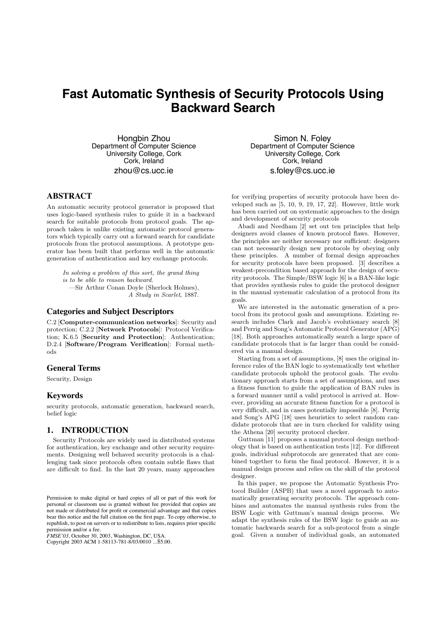# **Fast Automatic Synthesis of Security Protocols Using Backward Search**

Hongbin Zhou Department of Computer Science University College, Cork Cork, Ireland zhou@cs.ucc.ie

# **ABSTRACT**

An automatic security protocol generator is proposed that uses logic-based synthesis rules to guide it in a backward search for suitable protocols from protocol goals. The approach taken is unlike existing automatic protocol generators which typically carry out a forward search for candidate protocols from the protocol assumptions. A prototype generator has been built that performs well in the automatic generation of authentication and key exchange protocols.

*In solving a problem of this sort, the grand thing is to be able to reason backward.* —Sir Arthur Conan Doyle (Sherlock Holmes), *A Study in Scarlet*, 1887.

## **Categories and Subject Descriptors**

C.2 [Computer-communication networks]: Security and protection; C.2.2 [Network Protocols]: Protocol Verification; K.6.5 [Security and Protection]: Authentication; D.2.4 [Software/Program Verification]: Formal methods

## **General Terms**

Security, Design

## **Keywords**

security protocols, automatic generation, backward search, belief logic

# **1. INTRODUCTION**

Security Protocols are widely used in distributed systems for authentication, key exchange and other security requirements. Designing well behaved security protocols is a challenging task since protocols often contain subtle flaws that are difficult to find. In the last 20 years, many approaches

*FMSE'03,* October 30, 2003, Washington, DC, USA.

Copyright 2003 ACM 1-58113-781-8/03/0010 ...\$5.00.

Simon N. Foley Department of Computer Science University College, Cork Cork, Ireland s.foley@cs.ucc.ie

for verifying properties of security protocols have been developed such as [5, 10, 9, 19, 17, 22]. However, little work has been carried out on systematic approaches to the design and development of security protocols

Abadi and Needham [2] set out ten principles that help designers avoid classes of known protocol flaws. However, the principles are neither necessary nor sufficient: designers can not necessarily design new protocols by obeying only these principles. A number of formal design approaches for security protocols have been proposed. [3] describes a weakest-precondition based approach for the design of security protocols. The Simple/BSW logic [6] is a BAN-like logic that provides synthesis rules to guide the protocol designer in the manual systematic calculation of a protocol from its goals.

We are interested in the automatic generation of a protocol from its protocol goals and assumptions. Existing research includes Clark and Jacob's evolutionary search [8] and Perrig and Song's Automatic Protocol Generator (APG) [18]. Both approaches automatically search a large space of candidate protocols that is far larger than could be considered via a manual design.

Starting from a set of assumptions, [8] uses the original inference rules of the BAN logic to systematically test whether candidate protocols uphold the protocol goals. The evolutionary approach starts from a set of assumptions, and uses a fitness function to guide the application of BAN rules in a forward manner until a valid protocol is arrived at. However, providing an accurate fitness function for a protocol is very difficult, and in cases potentially impossible [8]. Perrig and Song's APG [18] uses heuristics to select random candidate protocols that are in turn checked for validity using the Athena [20] security protocol checker.

Guttman [11] proposes a manual protocol design methodology that is based on authentication tests [12]. For different goals, individual subprotocols are generated that are combined together to form the final protocol. However, it is a manual design process and relies on the skill of the protocol designer

In this paper, we propose the Automatic Synthesis Protocol Builder (ASPB) that uses a novel approach to automatically generating security protocols. The approach combines and automates the manual synthesis rules from the BSW Logic with Guttman's manual design process. We adapt the synthesis rules of the BSW logic to guide an automatic backwards search for a sub-protocol from a single goal. Given a number of individual goals, an automated

Permission to make digital or hard copies of all or part of this work for personal or classroom use is granted without fee provided that copies are not made or distributed for profit or commercial advantage and that copies bear this notice and the full citation on the first page. To copy otherwise, to republish, to post on servers or to redistribute to lists, requires prior specific permission and/or a fee.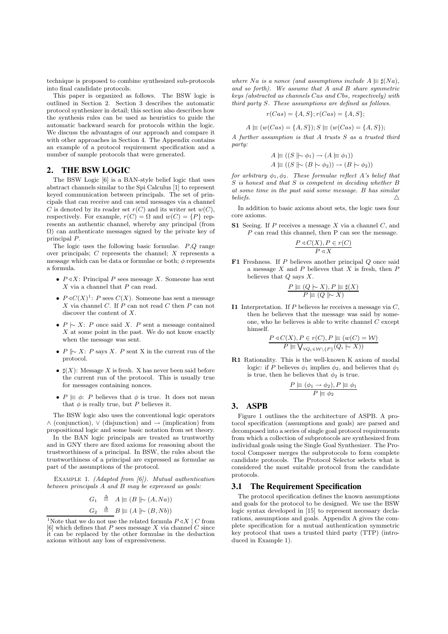technique is proposed to combine synthesized sub-protocols into final candidate protocols.

This paper is organized as follows. The BSW logic is outlined in Section 2. Section 3 describes the automatic protocol synthesizer in detail; this section also describes how the synthesis rules can be used as heuristics to guide the automatic backward search for protocols within the logic. We discuss the advantages of our approach and compare it with other approaches in Section 4. The Appendix contains an example of a protocol requirement specification and a number of sample protocols that were generated.

# **2. THE BSW LOGIC**

The BSW Logic [6] is a BAN-style belief logic that uses abstract channels similar to the Spi Calculus [1] to represent keyed communication between principals. The set of principals that can receive and can send messages via a channel *C* is denoted by its reader set  $r(C)$  and its writer set  $w(C)$ , respectively. For example,  $r(C) = \Omega$  and  $w(C) = \{P\}$  represents an authentic channel, whereby any principal (from Ω) can authenticate messages signed by the private key of principal *P*.

The logic uses the following basic formulae. *P*,*Q* range over principals; *C* represents the channel; *X* represents a message which can be data or formulae or both;  $\phi$  represents a formula.

- $P \triangleleft X$ : Principal *P* sees message *X*. Someone has sent *X* via a channel that *P* can read.
- $P \triangleleft C(X)^{1}$ : *P* sees  $C(X)$ . Someone has sent a message *X* via channel *C*. If *P* can not read *C* then *P* can not discover the content of *X*.
- *• P |*∼ *X*: *P* once said *X*. *P* sent a message contained *X* at some point in the past. We do not know exactly when the message was sent.
- *• P* ∥∼ *X*: *P* says *X*. *P* sent X in the current run of the protocol.
- $\sharp(X)$ : Message *X* is fresh. X has never been said before the current run of the protocol. This is usually true for messages containing nonces.
- $P \equiv \phi$ : *P* believes that  $\phi$  is true. It does not mean that  $\phi$  is really true, but  $P$  believes it.

The BSW logic also uses the conventional logic operators ∧ (conjunction), ∨ (disjunction) and → (implication) from propositional logic and some basic notation from set theory.

In the BAN logic principals are treated as trustworthy and in GNY there are fixed axioms for reasoning about the trustworthiness of a principal. In BSW, the rules about the trustworthiness of a principal are expressed as formulae as part of the assumptions of the protocol.

Example 1. *(Adapted from [6]). Mutual authentication between principals A and B may be expressed as goals:*

$$
G_1 \triangleq A \equiv (B \mid \sim (A, Na))
$$
  

$$
G_2 \triangleq B \equiv (A \mid \sim (B, Nb))
$$

*where Na is a nonce* (and assumptions include  $A \equiv \sharp(Na)$ , *and so forth). We assume that A and B share symmetric keys (abstracted as channels Cas and Cbs, respectively) with third party S. These assumptions are defined as follows.*

$$
r(Cas) = \{A, S\}; r(Cas) = \{A, S\};
$$

 $A \equiv (w(Cas) = \{A, S\}); S \equiv (w(Cas) = \{A, S\});$ 

*A further assumption is that A trusts S as a trusted third party:*

$$
A \equiv ((S \mid \sim \phi_1) \rightarrow (A \equiv \phi_1))
$$
  

$$
A \equiv ((S \mid \sim (B \sim \phi_2)) \rightarrow (B \sim \phi_2))
$$

*for arbitrary*  $\phi_1, \phi_2$ *. These formulae reflect A's belief that S is honest and that S is competent in deciding whether B at some time in the past said some message. B has similar beliefs.*  $\triangle$ 

In addition to basic axioms about sets, the logic uses four core axioms.

S1 Seeing. If *P* receives a message *X* via a channel *C*, and *P* can read this channel, then P can see the message.

$$
\frac{P \triangleleft C(X), P \in r(C)}{P \triangleleft X}
$$

F1 Freshness. If *P* believes another principal *Q* once said a message *X* and *P* believes that *X* is fresh, then *P* believes that *Q* says *X*.

$$
\dfrac{P \vDash (Q \mid\!\sim\! X), P \vDash \sharp(X)}{P \vDash (Q \parallel\!\sim\! X)}
$$

I1 Interpretation. If *P* believes he receives a message via *C*, then he believes that the message was said by someone, who he believes is able to write channel *C* except himself.

$$
\frac{P \triangleleft C(X), P \in r(C), P \equiv (w(C) = W)}{P \equiv \bigvee_{\forall Q_i \in W \setminus \{P\}} (Q_i \sim X))}
$$

R1 Rationality. This is the well-known K axiom of modal logic: if *P* believes  $\phi_1$  implies  $\phi_2$ , and believes that  $\phi_1$ is true, then he believes that  $\phi_2$  is true.

$$
\frac{P \vDash (\phi_1 \to \phi_2), P \vDash \phi_1}{P \vDash \phi_2}
$$

#### **3. ASPB**

Figure 1 outlines the the architecture of ASPB. A protocol specification (assumptions and goals) are parsed and decomposed into a series of single goal protocol requirements from which a collection of subprotocols are synthesized from individual goals using the Single Goal Synthesizer. The Protocol Composer merges the subprotocols to form complete candidate protocols. The Protocol Selector selects what is considered the most suitable protocol from the candidate protocols.

#### **3.1 The Requirement Specification**

The protocol specification defines the known assumptions and goals for the protocol to be designed. We use the BSW logic syntax developed in [15] to represent necessary declarations, assumptions and goals. Appendix A gives the complete specification for a mutual authentication symmetric key protocol that uses a trusted third party (TTP) (introduced in Example 1).

<sup>&</sup>lt;sup>1</sup>Note that we do not use the related formula  $P \triangleleft X \mid C$  from [6] which defines that *P* sees message *X* via channel *C* since it can be replaced by the other formulae in the deduction axioms without any loss of expressiveness.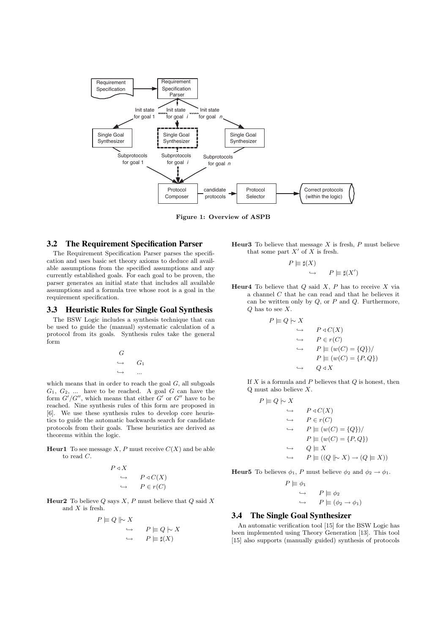

Figure 1: Overview of ASPB

## **3.2 The Requirement Specification Parser**

The Requirement Specification Parser parses the specification and uses basic set theory axioms to deduce all available assumptions from the specified assumptions and any currently established goals. For each goal to be proven, the parser generates an initial state that includes all available assumptions and a formula tree whose root is a goal in the requirement specification.

#### **3.3 Heuristic Rules for Single Goal Synthesis**

The BSW Logic includes a synthesis technique that can be used to guide the (manual) systematic calculation of a protocol from its goals. Synthesis rules take the general form

$$
\begin{array}{ccc}\nG & & & \\
\hookrightarrow & G_1 & & \\
\hookrightarrow & \dots & & \n\end{array}
$$

which means that in order to reach the goal *G*, all subgoals  $G_1, G_2, \ldots$  have to be reached. A goal  $G$  can have the form  $G'/G''$ , which means that either  $G'$  or  $G''$  have to be reached. Nine synthesis rules of this form are proposed in [6]. We use these synthesis rules to develop core heuristics to guide the automatic backwards search for candidate protocols from their goals. These heuristics are derived as theorems within the logic.

**Heur1** To see message *X*, *P* must receive  $C(X)$  and be able to read *C*.

*P* 

$$
\begin{array}{ccc}\n\triangleleft X & & \\
\hookrightarrow & P \triangleleft C(X) \\
\hookrightarrow & P \in r(C)\n\end{array}
$$

Heur2 To believe *Q* says *X*, *P* must believe that *Q* said *X* and *X* is fresh.

$$
P \models Q \parallel \sim X
$$
  
\n
$$
\hookrightarrow \qquad P \models Q \mid \sim X
$$
  
\n
$$
\hookrightarrow \qquad P \models \sharp(X)
$$

Heur3 To believe that message *X* is fresh, *P* must believe that some part *X*′ of *X* is fresh.

> $P \models \sharp(X)$  $\hookrightarrow$   $P \models \sharp(X')$

Heur4 To believe that  $Q$  said  $X$ ,  $P$  has to receive  $X$  via a channel *C* that he can read and that he believes it can be written only by *Q*, or *P* and *Q*. Furthermore, *Q* has to see *X*.

 $P$   $\models$ 

$$
Q \models X
$$
  
\n
$$
\rightarrow P \triangleleft C(X)
$$
  
\n
$$
\rightarrow P \in r(C)
$$
  
\n
$$
\rightarrow P \equiv (w(C) = \{Q\})/
$$
  
\n
$$
P \equiv (w(C) = \{P, Q\})
$$
  
\n
$$
\rightarrow Q \triangleleft X
$$

If *X* is a formula and *P* believes that *Q* is honest, then Q must also believe *X*.

$$
P \models Q \mid \sim X
$$
  
\n
$$
\rightarrow P \triangleleft C(X)
$$
  
\n
$$
\rightarrow P \in r(C)
$$
  
\n
$$
\rightarrow P \models (w(C) = \{Q\})/
$$
  
\n
$$
P \models (w(C) = \{P, Q\})
$$
  
\n
$$
\rightarrow Q \models X
$$
  
\n
$$
\rightarrow P \models ((Q \mid \sim X) \rightarrow (Q \models X))
$$

**Heur5** To believes  $\phi_1$ , *P* must believe  $\phi_2$  and  $\phi_2 \rightarrow \phi_1$ .

$$
P \models \phi_1
$$
  
\n
$$
\hookrightarrow \qquad P \models \phi_2
$$
  
\n
$$
\hookrightarrow \qquad P \models (\phi_2 \to \phi_1)
$$

#### **3.4 The Single Goal Synthesizer**

An automatic verification tool [15] for the BSW Logic has been implemented using Theory Generation [13]. This tool [15] also supports (manually guided) synthesis of protocols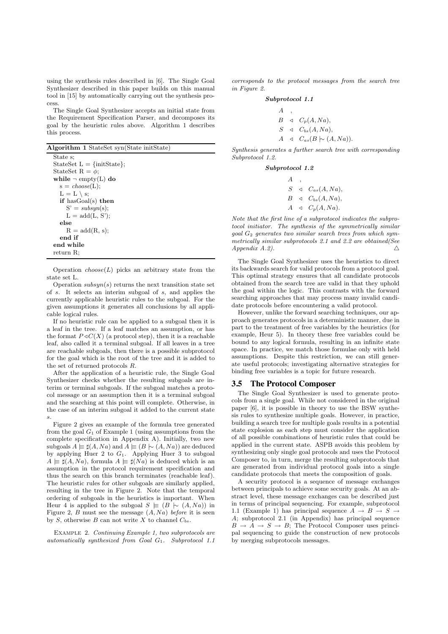using the synthesis rules described in [6]. The Single Goal Synthesizer described in this paper builds on this manual tool in [15] by automatically carrying out the synthesis process.

The Single Goal Synthesizer accepts an initial state from the Requirement Specification Parser, and decomposes its goal by the heuristic rules above. Algorithm 1 describes this process.

Algorithm 1 StateSet syn(State initState)

State s; StateSet L = *{*initState*}*; StateSet R =  $\phi$ ; while  $\neg$  empty(L) do  $s = choose(L);$  $L = L \setminus s;$ if hasGoal(s) then  $S' = subsyn(s);$  $L = add(L, S')$ ; else  $R = add(R, s);$ end if end while return R;

Operation  $choose(L)$  picks an arbitrary state from the state set L.

Operation  $subsyn(s)$  returns the next transition state set of *s*. It selects an interim subgoal of *s*, and applies the currently applicable heuristic rules to the subgoal. For the given assumptions it generates all conclusions by all applicable logical rules.

If no heuristic rule can be applied to a subgoal then it is a leaf in the tree. If a leaf matches an assumption, or has the format  $P \triangleleft C(X)$  (a protocol step), then it is a reachable leaf, also called it a terminal subgoal. If all leaves in a tree are reachable subgoals, then there is a possible subprotocol for the goal which is the root of the tree and it is added to the set of returned protocols *R*.

After the application of a heuristic rule, the Single Goal Synthesizer checks whether the resulting subgoals are interim or terminal subgoals. If the subgoal matches a protocol message or an assumption then it is a terminal subgoal and the searching at this point will complete. Otherwise, in the case of an interim subgoal it added to the current state *s*.

Figure 2 gives an example of the formula tree generated from the goal  $G_1$  of Example 1 (using assumptions from the complete specification in Appendix A). Initially, two new subgoals  $A \models \sharp(A, Na)$  and  $\overline{A} \models (B \mid \sim (A, Na))$  are deduced by applying Huer 2 to *G*1. Applying Huer 3 to subgoal  $A \models \sharp(A, Na)$ , formula  $A \models \sharp(Na)$  is deduced which is an assumption in the protocol requirement specification and thus the search on this branch terminates (reachable leaf). The heuristic rules for other subgoals are similarly applied, resulting in the tree in Figure 2. Note that the temporal ordering of subgoals in the heuristics is important. When Heur 4 is applied to the subgoal  $S \equiv (B \mid \sim (A, Na))$  in Figure 2, *B* must see the message (*A, Na*) *before* it is seen by *S*, otherwise *B* can not write *X* to channel  $C_{bs}$ .

Example 2. *Continuing Example 1, two subprotocols are automatically synthesized from Goal G*1*. Subprotocol 1.1*

*corresponds to the protocol messages from the search tree in Figure 2.*

#### *Subprotocol 1.1*

*A ,*  $B \triangleleft C_p(A, Na)$ ,  $S \triangleleft C_{bs}(A, Na)$ ,  $A \triangleleft C_{as}(B \mid \sim (A, Na)).$ 

*Synthesis generates a further search tree with corresponding Subprotocol 1.2.*

*Subprotocol 1.2*

| А  |                               |
|----|-------------------------------|
| S  | $\triangleleft C_{as}(A,Na),$ |
| B. | $\triangleleft C_{bs}(A,Na),$ |
|    | $A \triangleleft C_p(A, Na).$ |

*Note that the first line of a subprotocol indicates the subprotocol initiator. The synthesis of the symmetrically similar goal G*<sup>2</sup> *generates two similar search trees from which symmetrically similar subprotocols 2.1 and 2.2 are obtained(See Appendix A.2).*  $\triangle$ 

The Single Goal Synthesizer uses the heuristics to direct its backwards search for valid protocols from a protocol goal. This optimal strategy ensures that all candidate protocols obtained from the search tree are valid in that they uphold the goal within the logic. This contrasts with the forward searching approaches that may process many invalid candidate protocols before encountering a valid protocol.

However, unlike the forward searching techniques, our approach generates protocols in a deterministic manner, due in part to the treatment of free variables by the heuristics (for example, Heur 5). In theory these free variables could be bound to any logical formula, resulting in an infinite state space. In practice, we match those formulae only with held assumptions. Despite this restriction, we can still generate useful protocols; investigating alternative strategies for binding free variables is a topic for future research.

#### **3.5 The Protocol Composer**

The Single Goal Synthesizer is used to generate protocols from a single goal. While not considered in the original paper [6], it is possible in theory to use the BSW synthesis rules to synthesize multiple goals. However, in practice, building a search tree for multiple goals results in a potential state explosion as each step must consider the application of all possible combinations of heuristic rules that could be applied in the current state. ASPB avoids this problem by synthesizing only single goal protocols and uses the Protocol Composer to, in turn, merge the resulting subprotocols that are generated from individual protocol goals into a single candidate protocols that meets the composition of goals.

A security protocol is a sequence of message exchanges between principals to achieve some security goals. At an abstract level, these message exchanges can be described just in terms of principal sequencing. For example, subprotocol 1.1 (Example 1) has principal sequence  $A \rightarrow B \rightarrow S \rightarrow$ *A*; subprotocol 2.1 (in Appendix) has principal sequence  $B \to A \to S \to B$ ; The Protocol Composer uses principal sequencing to guide the construction of new protocols by merging subprotocols messages.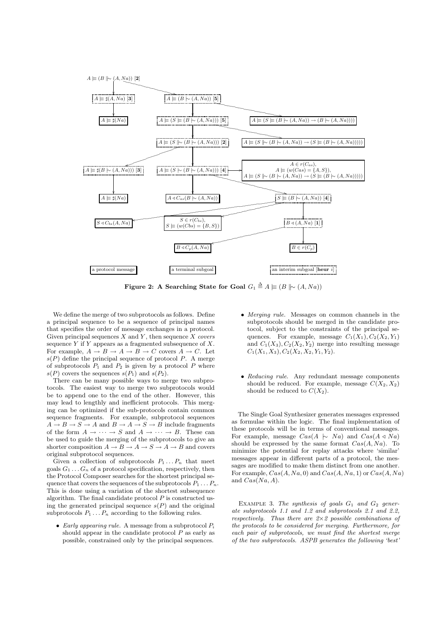

Figure 2: A Searching State for Goal  $G_1 \triangleq A \models (B \mid \sim (A, Na))$ 

We define the merge of two subprotocols as follows. Define a principal sequence to be a sequence of principal names that specifies the order of message exchanges in a protocol. Given principal sequences  $X$  and  $Y$ , then sequence  $X$  *covers* sequence *Y* if *Y* appears as a fragmented subsequence of *X*. For example,  $A \rightarrow B \rightarrow A \rightarrow B \rightarrow C$  covers  $A \rightarrow C$ . Let  $s(P)$  define the principal sequence of protocol  $P$ . A merge of subprotocols  $P_1$  and  $P_2$  is given by a protocol  $P$  where  $s(P)$  covers the sequences  $s(P_1)$  and  $s(P_2)$ .

There can be many possible ways to merge two subprotocols. The easiest way to merge two subprotocols would be to append one to the end of the other. However, this may lead to lengthly and inefficient protocols. This merging can be optimized if the sub-protocols contain common sequence fragments. For example, subprotocol sequences  $A \rightarrow B \rightarrow S \rightarrow A$  and  $B \rightarrow A \rightarrow S \rightarrow B$  include fragments of the form  $A \to \cdots \to S$  and  $A \to \cdots \to B$ . These can be used to guide the merging of the subprotocols to give an shorter composition  $A \to B \to A \to S \to A \to B$  and covers original subprotocol sequences.

Given a collection of subprotocols  $P_1 \ldots P_n$  that meet goals  $G_1 \ldots G_n$  of a protocol specification, respectively, then the Protocol Composer searches for the shortest principal sequence that covers the sequences of the subprotocols  $P_1 \ldots P_n$ . This is done using a variation of the shortest subsequence algorithm. The final candidate protocol *P* is constructed using the generated principal sequence  $s(P)$  and the original subprotocols  $P_1 \ldots P_n$  according to the following rules.

*• Early appearing rule.* A message from a subprotocol *P<sup>i</sup>* should appear in the candidate protocol *P* as early as possible, constrained only by the principal sequences.

- *• Merging rule.* Messages on common channels in the subprotocols should be merged in the candidate protocol, subject to the constraints of the principal sequences. For example, message  $C_1(X_1), C_2(X_2, Y_1)$ and  $C_1(X_3)$ ,  $C_2(X_2, Y_2)$  merge into resulting message  $C_1(X_1, X_3), C_2(X_2, X_2, Y_1, Y_2).$
- *• Reducing rule.* Any redundant message components should be reduced. For example, message  $C(X_2, X_2)$ should be reduced to  $C(X_2)$ .

The Single Goal Synthesizer generates messages expressed as formulae within the logic. The final implementation of these protocols will be in terms of conventional messages. For example, message  $Cas(A \mid \sim Na)$  and  $Cas(A \triangle A \cap Na)$ should be expressed by the same format *Cas*(*A, Na*). To minimize the potential for replay attacks where 'similar' messages appear in different parts of a protocol, the messages are modified to make them distinct from one another. For example, *Cas*(*A, Na,* 0) and *Cas*(*A, Na,* 1) or *Cas*(*A, Na*) and *Cas*(*Na, A*).

Example 3. *The synthesis of goals G*<sup>1</sup> *and G*<sup>2</sup> *generate subprotocols 1.1 and 1.2 and subprotocols 2.1 and 2.2, respectively. Thus there are 2*×*2 possible combinations of the protocols to be considered for merging. Furthermore, for each pair of subprotocols, we must find the shortest merge of the two subprotocols. ASPB generates the following 'best'*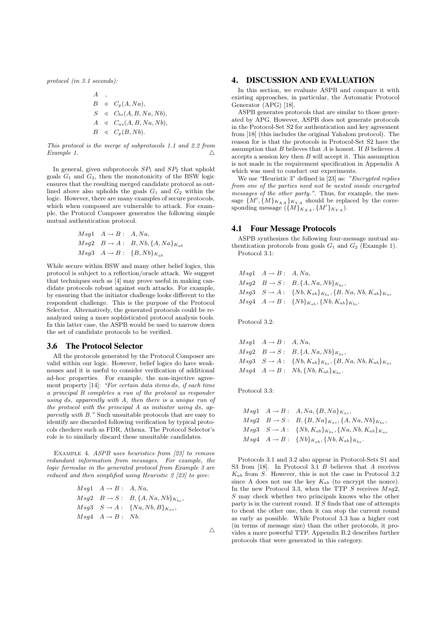*protocol (in 3.1 seconds):*

*A , B* ▹ *Cp*(*A, Na*)*, S* ▹ *Cbs*(*A, B, Na, Nb*)*, A* ▹ *Cas*(*A, B, Na, Nb*)*, B* ▹ *Cp*(*B,Nb*)*.*

*This protocol is the merge of subprotocols 1.1 and 2.2 from Example 1.* 

In general, given subprotocols *SP*<sup>1</sup> and *SP*<sup>2</sup> that uphold goals  $G_1$  and  $G_2$ , then the monotonicity of the BSW logic ensures that the resulting merged candidate protocol as outlined above also upholds the goals *G*<sup>1</sup> and *G*<sup>2</sup> within the logic. However, there are many examples of secure protocols, which when composed are vulnerable to attack. For example, the Protocol Composer generates the following simple mutual authentication protocol.

$$
Msg1 \quad A \rightarrow B: \quad A, Na,
$$
  
\n
$$
Msg2 \quad B \rightarrow A: \quad B, Nb, \{A, Na\}_{K_{ab}}
$$
  
\n
$$
Msg3 \quad A \rightarrow B: \quad \{B, Nb\}_{K_{ab}}
$$

While secure within BSW and many other belief logics, this protocol is subject to a reflection/oracle attack. We suggest that techniques such as [4] may prove useful in making candidate protocols robust against such attacks. For example, by ensuring that the initiator challenge looks different to the respondent challenge. This is the purpose of the Protocol Selector. Alternatively, the generated protocols could be reanalyzed using a more sophisticated protocol analysis tools. In this latter case, the ASPB would be used to narrow down the set of candidate protocols to be verified.

#### **3.6 The Protocol Selector**

All the protocols generated by the Protocol Composer are valid within our logic. However, belief logics do have weaknesses and it is useful to consider verification of additional ad-hoc properties. For example, the non-injective agreement property [14]: *"For certain data items ds, if each time a principal B completes a run of the protocol as responder using ds, apparently with A, then there is a unique run of the protocol with the principal A as initiator using ds, apparently with B.*" Such unsuitable protocols that are easy to identify are discarded following verification by typical protocols checkers such as FDR, Athena. The Protocol Selector's role is to similarly discard these unsuitable candidates.

Example 4. *ASPB uses heuristics from [23] to remove redundant information from messages. For example, the logic formulae in the generated protocol from Example 3 are reduced and then simplified using Heuristic 2 [23] to give:*

$$
Msg1 \quad A \rightarrow B: \quad A, Na,
$$
  
\n
$$
Msg2 \quad B \rightarrow S: \quad B, \{A, Na, Nb\}_{K_{bs}},
$$
  
\n
$$
Msg3 \quad S \rightarrow A: \quad \{Na, Nb, B\}_{K_{as}},
$$
  
\n
$$
Msg4 \quad A \rightarrow B: \quad Nb.
$$

## **4. DISCUSSION AND EVALUATION**

In this section, we evaluate ASPB and compare it with existing approaches, in particular, the Automatic Protocol Generator (APG) [18].

ASPB generates protocols that are similar to those generated by APG. However, ASPB does not generate protocols in the Protocol-Set S2 for authentication and key agreement from [18] (this includes the original Yahalom protocol). The reason for is that the protocols in Protocol-Set S2 have the assumption that *B* believes that *A* is honest. If *B* believes *A* accepts a session key then *B* will accept it. This assumption is not made in the requirement specification in Appendix A which was used to conduct our experiments.

We use "Heuristic 3" defined in [23] as: *"Encrypted replies from one of the parties need not be nested inside encrypted messages of the other party."*. Thus, for example, the message  $\{M', \{M\}_{K_{XA}}\}_{K_{YA}}$  should be replaced by the corresponding message  $({M}$ <sub>*KXA*</sub> *,*  ${M}'$ <sub>*KYA*</sub>).

# **4.1 Four Message Protocols**

ASPB synthesizes the following four-message mutual authentication protocols from goals  $G_1$  and  $G_2$  (Example 1). Protocol 3.1:

 $Msg1 \quad A \rightarrow B: A, Na,$  $Msg2 \quad B \to S : B, \{A, Na, Nb\}_{K_{bc}},$  $Msg3$   $S \to A$ :  $\{Nb, K_{ab}\}_{K_{bs}}, \{B, Na, Nb, K_{ab}\}_{K_{as}}$  $Msg4 \quad A \rightarrow B: \ \{Nb\}_{K_{ab}}, \{Nb, K_{ab}\}_{K_{bc}}.$ 

Protocol 3.2:

$$
Msg1 \quad A \rightarrow B: \quad A, Na,
$$
  
\n
$$
Msg2 \quad B \rightarrow S: \quad B, \{A, Na, Nb\}_{K_{bs}},
$$
  
\n
$$
Msg3 \quad S \rightarrow A: \quad \{Nb, Ka_b\}_{K_{bs}}, \{B, Na, Nb, K_{ab}\}_{K_{as}}
$$
  
\n
$$
Msg4 \quad A \rightarrow B: \quad Nb, \{Nb, Ka_b\}_{K_{bs}}.
$$

Protocol 3.3:

$$
Msg1 \quad A \to B: \quad A, Na, \{B, Na\}_{K_{as}},
$$
  
\n
$$
Msg2 \quad B \to S: \quad B, \{B, Na\}_{K_{as}}, \{A, Na, Nb\}_{K_{bs}},
$$
  
\n
$$
Msg3 \quad S \to A: \quad \{Nb, K_{ab}\}_{K_{bs}}, \{Na, Nb, K_{ab}\}_{K_{as}}
$$
  
\n
$$
Msg4 \quad A \to B: \quad \{Nb\}_{K_{ab}}, \{Nb, K_{ab}\}_{K_{bs}}.
$$

Protocols 3.1 and 3.2 also appear in Protocol-Sets S1 and S3 from [18]. In Protocol 3.1 *B* believes that *A* receives *Kab* from *S*. However, this is not the case in Protocol 3.2 since A does not use the key  $K_{ab}$  (to encrypt the nonce). In the new Protocol 3.3, when the TTP *S* receives *Msg*2, *S* may check whether two principals knows who the other party is in the current round. If *S* finds that one of attempts to cheat the other one, then it can stop the current round as early as possible. While Protocol 3.3 has a higher cost (in terms of message size) than the other protocols, it provides a more powerful TTP. Appendix B.2 describes further protocols that were generated in this category.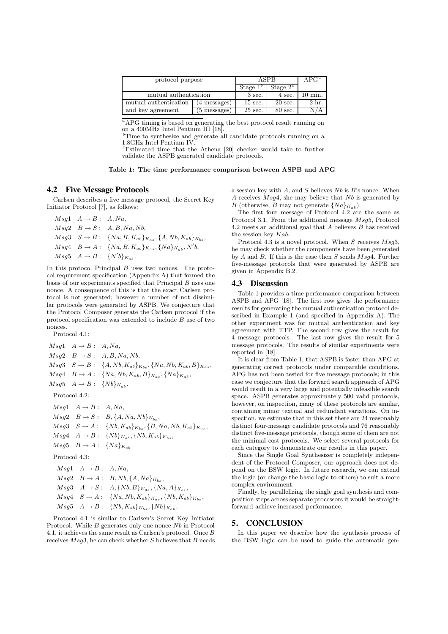| protocol purpose      | ASPR              |                   | $APG^a$           |       |
|-----------------------|-------------------|-------------------|-------------------|-------|
|                       | Stage $1^{\circ}$ | Stage $2^c$       |                   |       |
| mutual authentication | $3 \text{ sec.}$  | 4 sec.            | ) min.            |       |
| mutual authentication | 4 messages)       | $15 \text{ sec.}$ | $20 \text{ sec.}$ | 2 hr. |
| and key agreement     | 5 messages)       | $25$ sec.         | 80 sec.           |       |

<sup>a</sup>APG timing is based on generating the best protocol result running on on a 400MHz Intel Pentium III [18].

<sup>*b*</sup>Time to synthesize and generate all candidate protocols running on a 1.8GHz Intel Pentium IV.

*<sup>c</sup>*Estimated time that the Athena [20] checker would take to further validate the ASPB generated candidate protocols.

Table 1: The time performance comparison between ASPB and APG

#### **4.2 Five Message Protocols**

Carlsen describes a five message protocol, the Secret Key Initiator Protocol [7], as follows:

 $Msg1 \quad A \rightarrow B: A, Na,$  $Msq2 \quad B \rightarrow S : A, B, Na, Nb,$  $Msg3$   $S \to B$ :  $\{Na, B, K_{ab}\}_{K_{as}}, \{A, Nb, K_{ab}\}_{K_{bs}},$  $Msg4 \quad B \to A: \ \{Na, B, K_{ab}\}_{K_{as}}, \{Na\}_{K_{ab}}, N'b,$  $Msg5 \quad A \to B: \ \ \{N'b\}_{K_{ab}}.$ 

In this protocol Principal *B* uses two nonces. The protocol requirement specification (Appendix A) that formed the basis of our experiments specified that Principal *B* uses one nonce. A consequence of this is that the exact Carlsen protocol is not generated; however a number of not dissimilar protocols were generated by ASPB. We conjecture that the Protocol Composer generate the Carlsen protocol if the protocol specification was extended to include *B* use of two nonces.

Protocol 4.1:

 $Msg1 \quad A \rightarrow B: A, Na,$  $Msg2 \quad B \rightarrow S : A, B, Na, Nb,$  $Msg3 \quad S \to B: \{A, Nb, K_{ab}\}_{K_{bs}}, \{Na, Nb, K_{ab}, B\}_{K_{as}},$  $Msg4$   $B \to A$ :  $\{Na, Nb, K_{ab}, B\}_{K_{as}}, \{Na\}_{K_{ab}},$  $Msg5 \quad A \rightarrow B: \quad \{Nb\}_{K_{ab}}.$ Protocol 4.2:

 $Msq1 \quad A \rightarrow B: A, Na,$  $Msq2 \quad B \rightarrow S : B, \{A, Na, Nb\}_{K_b}$  $Msg3$   $S \to A$ :  $\{Nb, K_{ab}\}_{K_{bc}}, \{B, Na, Nb, K_{ab}\}_{K_{as}},$  $Msg4 \quad A \to B: \ \{Nb\}_{K_{ab}}, \{Nb, K_{ab}\}_{K_{bs}},$  $Msg5$   $B \rightarrow A$  :  $\{Na\}_{K_{ab}}$ .

Protocol 4.3:

 $Msq1 \quad A \rightarrow B: A, Na,$  $Msg2 \quad B \to A: B, Nb, \{A, Na\}_{K_{bs}},$  $Msg3 \quad A \to S: \quad A, \{Nb, B\}K_{as}, \{Na, A\}K_{bs},$  $Msq4$   $S \to A$ :  $\{Na, Nb, K_{ab}\}_{K_{as}}, \{Nb, K_{ab}\}_{K_{bs}},$  $Msq5$   $A \rightarrow B$  :  $\{Nb, K_{ab}\}_{K_{bs}}, \{Nb\}_{K_{ab}}$ .

Protocol 4.1 is similar to Carlsen's Secret Key Initiator Protocol. While *B* generates only one nonce *Nb* in Protocol 4.1, it achieves the same result as Carlsen's protocol. Once *B* receives *Msg*3, he can check whether *S* believes that *B* needs a session key with *A*, and *S* believes *Nb* is *B*'s nonce. When *A* receives *Msg*4, she may believe that *Nb* is generated by *B* (otherwise, *B* may not generate  $\{Na\}_{K_{ab}}$ ).

The first four message of Protocol 4.2 are the same as Protocol 3.1. From the additional message *Msg*5, Protocol 4.2 meets an additional goal that *A* believes *B* has received the session key *Kab*.

Protocol 4.3 is a novel protocol. When *S* receives *Msg*3, he may check whether the components have been generated by *A* and *B*. If this is the case then *S* sends *Msg*4. Further five-message protocols that were generated by ASPB are given in Appendix B.2.

# **4.3 Discussion**

Table 1 provides a time performance comparison between ASPB and APG [18]. The first row gives the performance results for generating the mutual authentication protocol described in Example 1 (and specified in Appendix A). The other experiment was for mutual authentication and key agreement with TTP. The second row gives the result for 4 message protocols. The last row gives the result for 5 message protocols. The results of similar experiments were reported in [18].

It is clear from Table 1, that ASPB is faster than APG at generating correct protocols under comparable conditions. APG has not been tested for five message protocols; in this case we conjecture that the forward search approach of APG would result in a very large and potentially infeasible search space. ASPB generates approximately 500 valid protocols, however, on inspection, many of these protocols are similar, containing minor textual and redundant variations. On inspection, we estimate that in this set there are 24 reasonably distinct four-message candidate protocols and 76 reasonably distinct five-message protocols, though some of them are not the minimal cost protocols. We select several protocols for each category to demonstrate our results in this paper.

Since the Single Goal Synthesizer is completely independent of the Protocol Composer, our approach does not depend on the BSW logic. In future research, we can extend the logic (or change the basic logic to others) to suit a more complex environment.

Finally, by parallelizing the single goal synthesis and composition steps across separate processors it would be straightforward achieve increased performance.

## **5. CONCLUSION**

In this paper we describe how the synthesis process of the BSW logic can be used to guide the automatic gen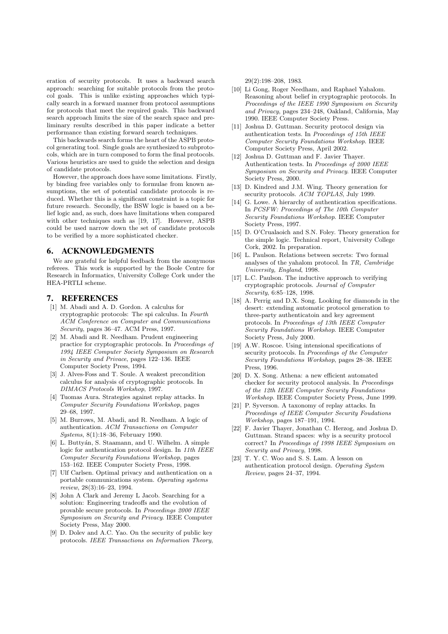eration of security protocols. It uses a backward search approach: searching for suitable protocols from the protocol goals. This is unlike existing approaches which typically search in a forward manner from protocol assumptions for protocols that meet the required goals. This backward search approach limits the size of the search space and preliminary results described in this paper indicate a better performance than existing forward search techniques.

This backwards search forms the heart of the ASPB protocol generating tool. Single goals are synthesized to subprotocols, which are in turn composed to form the final protocols. Various heuristics are used to guide the selection and design of candidate protocols.

However, the approach does have some limitations. Firstly, by binding free variables only to formulae from known assumptions, the set of potential candidate protocols is reduced. Whether this is a significant constraint is a topic for future research. Secondly, the BSW logic is based on a belief logic and, as such, does have limitations when compared with other techniques such as [19, 17]. However, ASPB could be used narrow down the set of candidate protocols to be verified by a more sophisticated checker.

# **6. ACKNOWLEDGMENTS**

We are grateful for helpful feedback from the anonymous referees. This work is supported by the Boole Centre for Research in Informatics, University College Cork under the HEA-PRTLI scheme.

#### **7. REFERENCES**

- [1] M. Abadi and A. D. Gordon. A calculus for cryptographic protocols: The spi calculus. In *Fourth ACM Conference on Computer and Communications Security*, pages 36–47. ACM Press, 1997.
- [2] M. Abadi and R. Needham. Prudent engineering practice for cryptographic protocols. In *Proceedings of 1994 IEEE Computer Society Symposium on Research in Security and Privace*, pages 122–136. IEEE Computer Society Press, 1994.
- [3] J. Alves-Foss and T. Soule. A weakest precondition calculus for analysis of cryptographic protocols. In *DIMACS Protocols Workshop*, 1997.
- [4] Tuomas Aura. Strategies against replay attacks. In *Computer Security Foundations Workshop*, pages 29–68, 1997.
- [5] M. Burrows, M. Abadi, and R. Needham. A logic of authentication. *ACM Transactions on Computer Systems*, 8(1):18–36, February 1990.
- [6] L. Buttyán, S. Staamann, and U. Wilhelm. A simple logic for authentication protocol design. In *11th IEEE Computer Security Foundations Workshop*, pages 153–162. IEEE Computer Society Press, 1998.
- [7] Ulf Carlsen. Optimal privacy and authentication on a portable communications system. *Operating systems review*, 28(3):16–23, 1994.
- [8] John A Clark and Jeremy L Jacob. Searching for a solution: Engineering tradeoffs and the evolution of provable secure protocols. In *Proceedings 2000 IEEE Symposium on Security and Privacy*. IEEE Computer Society Press, May 2000.
- [9] D. Dolev and A.C. Yao. On the security of public key protocols. *IEEE Transactions on Information Theory*,

29(2):198–208, 1983.

- [10] Li Gong, Roger Needham, and Raphael Yahalom. Reasoning about belief in cryptographic protocols. In *Proceedings of the IEEE 1990 Symposium on Security and Privacy*, pages 234–248, Oakland, California, May 1990. IEEE Computer Society Press.
- [11] Joshua D. Guttman. Security protocol design via authentication tests. In *Proceedings of 15th IEEE Computer Security Foundations Workshop*. IEEE Computer Society Press, April 2002.
- [12] Joshua D. Guttman and F. Javier Thayer. Authentication tests. In *Proceedings of 2000 IEEE Symposium on Security and Privacy*. IEEE Computer Society Press, 2000.
- [13] D. Kindred and J.M. Wing. Theory generation for security protocols. *ACM TOPLAS*, July 1999.
- [14] G. Lowe. A hierarchy of authentication specifications. In *PCSFW: Proceedings of The 10th Computer Security Foundations Workshop*. IEEE Computer Society Press, 1997.
- [15] D. O'Crualaoich and S.N. Foley. Theory generation for the simple logic. Technical report, University College Cork, 2002. In preparation.
- [16] L. Paulson. Relations between secrets: Two formal analyses of the yahalom protocol. In *TR, Cambridge University, England*, 1998.
- [17] L.C. Paulson. The inductive approach to verifying cryptographic protocols. *Journal of Computer Security*, 6:85–128, 1998.
- [18] A. Perrig and D.X. Song. Looking for diamonds in the desert: extending automatic protocol generation to three-party authenticatoin and key agreement protocols. In *Proceedings of 13th IEEE Computer Security Foundations Workshop*. IEEE Computer Society Press, July 2000.
- [19] A.W. Roscoe. Using intensional specifications of security protocols. In *Proceedings of the Computer Security Foundations Workshop*, pages 28–38. IEEE Press, 1996.
- [20] D. X. Song. Athena: a new efficient automated checker for security protocol analysis. In *Proceedings of the 12th IEEE Computer Security Foundations Workshop*. IEEE Computer Society Press, June 1999.
- [21] P. Syverson. A taxonomy of replay attacks. In *Proceedings of IEEE Computer Security Foudations Workshop*, pages 187–191, 1994.
- [22] F. Javier Thayer, Jonathan C. Herzog, and Joshua D. Guttman. Strand spaces: why is a security protocol correct? In *Proceedings of 1998 IEEE Symposium on Security and Privacy*, 1998.
- [23] T. Y. C. Woo and S. S. Lam. A lesson on authentication protocol design. *Operating System Review*, pages 24–37, 1994.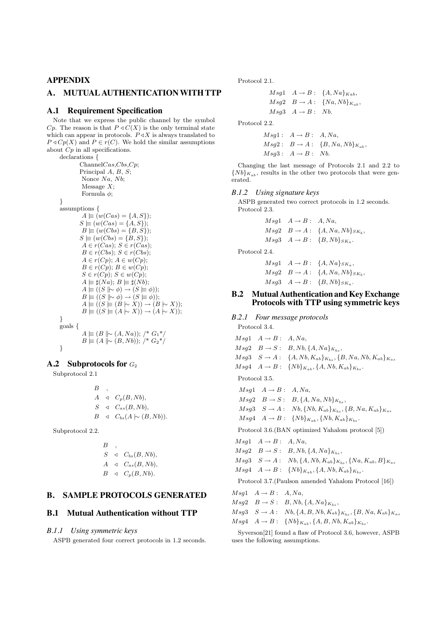# **APPENDIX**

# **A. MUTUAL AUTHENTICATIONWITH TTP**

# **A.1 Requirement Specification**

Note that we express the public channel by the symbol *Cp*. The reason is that  $P \triangleleft C(X)$  is the only terminal state which can appear in protocols.  $P \triangleleft X$  is always translated to  $P \triangleleft Cp(X)$  and  $P \in r(C)$ . We hold the similar assumptions about *Cp* in all specifications.

declarations *{* Channel*Cas*,*Cbs*,*Cp*; Principal *A*, *B*, *S*; Nonce *Na*, *Nb*; Message *X*; Formula  $\phi$ ; *}* assumptions *{*  $A \equiv (w(Cas) = \{A, S\})$ ;  $S \equiv (w(Cas) = \{A, S\})$ ;  $B \equiv (w(Cbs) = \{B, S\})$ ;  $S \equiv (w(Cbs) = {B, S})$ ;  $A \in r(Cas)$ ;  $S \in r(Cas)$ ;  $B \in r(Cbs); S \in r(Cbs);$  $A \in r(Cp)$ ;  $A \in w(Cp)$ ;  $B \in r(Cp); B \in w(Cp);$ *S* ∈ *r*( $Cp$ ); *S* ∈ *w*( $Cp$ );  $A \equiv \sharp(Na); B \equiv \sharp(Nb);$  $A \models ((S \mid \sim \phi) \rightarrow (S \models \phi));$  $B \models ((S \parallel \sim \phi) \rightarrow (S \models \phi));$  $A \equiv ((S \equiv (B \sim X)) \rightarrow (B \sim X));$  $B \models ((S \models (A \mid \sim X)) \rightarrow (A \mid \sim X))$ ; *}* goals *{ A*  $\equiv$  (*B*  $\mid \sim$  (*A, Na*)); /<sup>\*</sup> *G*<sub>1</sub><sup>\*</sup>/ *B*  $\equiv$  (*A*  $\parallel \sim$  (*B*, *Nb*)); /\* *G*<sub>2</sub>\*/ *}*

# **A.2 Subprotocols for** *G*<sup>2</sup>

Subprotocol 2.1

$$
B, \quad ,
$$
  
\n
$$
A \triangleleft C_p(B, Nb),
$$
  
\n
$$
S \triangleleft C_{as}(B, Nb),
$$
  
\n
$$
B \triangleleft C_{bs}(A \sim (B, Nb)).
$$

Subprotocol 2.2.

$$
B, \quad ,
$$
  
\n
$$
S \quad \triangleleft \quad C_{bs}(B, Nb),
$$
  
\n
$$
A \quad \triangleleft \quad C_{as}(B, Nb),
$$
  
\n
$$
B \quad \triangleleft \quad C_p(B, Nb).
$$

# **B. SAMPLE PROTOCOLS GENERATED**

#### **B.1 Mutual Authentication without TTP**

#### *B.1.1 Using symmetric keys*

ASPB generated four correct protocols in 1.2 seconds.

Protocol 2.1.

$$
Msg1 \quad A \rightarrow B: \quad \{A, Na\}_{Kab},
$$
  
\n
$$
Msg2 \quad B \rightarrow A: \quad \{Na, Nb\}_{K_{ab}},
$$
  
\n
$$
Msg3 \quad A \rightarrow B: \quad Nb.
$$

Protocol 2.2.

 $Msg1: A \rightarrow B: A, Na,$  $Msg2: B \to A: \{B, Na, Nb\}_{K_{ab}},$  $Msq3: A \rightarrow B: Nb.$ 

Changing the last message of Protocols 2.1 and 2.2 to  ${Nb}_{K_{ab}}$ , results in the other two protocols that were generated.

## *B.1.2 Using signature keys*

ASPB generated two correct protocols in 1.2 seconds. Protocol 2.3.

> $Msg1 \quad A \rightarrow B: A, Na,$  $Msg2 \quad B \to A : \{A, Na, Nb\}_{SK_b},$  $Msg3 \quad A \rightarrow B: \quad \{B, Nb\}_{SK_a}.$

Protocol 2.4.

 $Msg1 \quad A \rightarrow B: \ \{A, Na\}_{SK_a},$  $Msg2 \quad B \to A: \ \{A, Na, Nb\}_{SK_b},$  $Msg3 \quad A \rightarrow B: \quad \{B, Nb\}_{SK_a}.$ 

# **B.2 Mutual Authentication and Key Exchange Protocols with TTP using symmetric keys**

*B.2.1 Four message protocols* Protocol 3.4.  $Msg1 \quad A \rightarrow B: A, Na,$  $Msg2 \quad B \to S : B, Nb, \{A, Na\}_{K_{bs}},$  $Msg3$   $S \to A$ :  $\{A, Nb, K_{ab}\}_{K_{bs}}, \{B, Na, Nb, K_{ab}\}_{K_{as}}$  $Msg4 \quad A \rightarrow B: \ \{Nb\}_{K_{ab}}, \{A, Nb, K_{ab}\}_{K_{bc}}.$ Protocol 3.5.  $Msg1 \quad A \rightarrow B: A, Na,$  $Msg2 \quad B \to S : B, \{A, Na, Nb\}_{K_{bc}},$  $Msg3$   $S \to A$ ;  $Nb$ ,  $\{Nb, K_{ab}\}_{K_{bs}}, \{B, Na, K_{ab}\}_{K_{as}}$  $Msg4 \quad A \to B: \ \{Nb\}_{K_{ab}}, \{Nb, K_{ab}\}_{K_{bs}}.$ Protocol 3.6.(BAN optimized Yahalom protocol [5])  $Msq1 \quad A \rightarrow B: A, Na,$  $Msg2 \quad B \to S: B, Nb, \{A, Na\}_{K_{bs}},$  $Msg3$   $S \rightarrow A$ ;  $Nb$ ,  $\{A, Nb, K_{ab}\}_{K_{ba}}, \{Na, K_{ab}, B\}_{K_{as}}$  $Msg4 \quad A \to B: \ \{Nb\}_{K_{ab}}, \{A, Nb, K_{ab}\}_{K_{bs}}.$ Protocol 3.7.(Paulson amended Yahalom Protocol [16])  $Msg1 \quad A \rightarrow B : A, Na,$  $Msg2 \quad B \to S : B, Nb, \{A, Na\}_{K_{bc}},$  $Msg3$   $S \to A$ :  $Nb$ ,  $\{A, B, Nb, K_{ab}\}_{K_{bs}}$ ,  $\{B, Na, K_{ab}\}_{K_{as}}$  $Msg4 \quad A \to B: \ \{Nb\}_{K_{ab}}, \{A, B, Nb, K_{ab}\}_{K_{bs}}.$ 

Syverson[21] found a flaw of Protocol 3.6, however, ASPB uses the following assumptions.